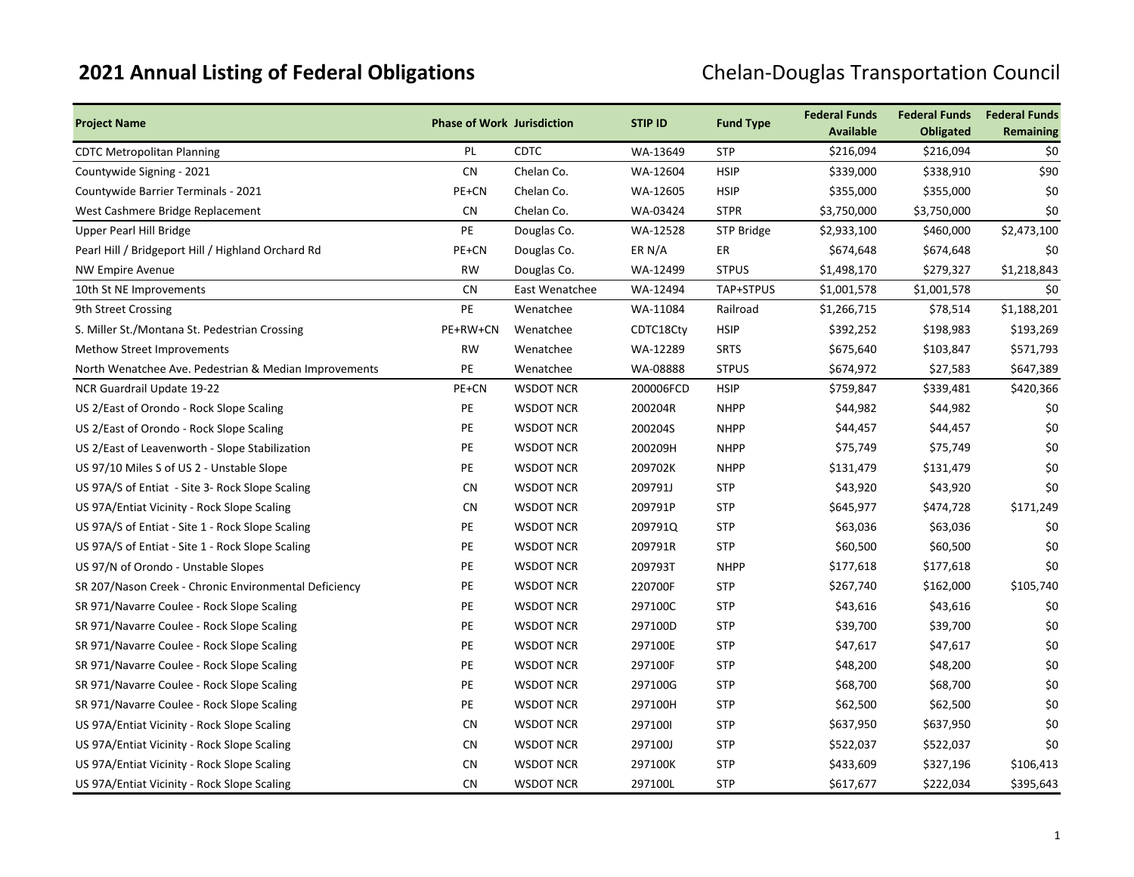## **2021 Annual Listing of Federal Obligations Chelan-Douglas Transportation Council**

| <b>Project Name</b>                                   | <b>Phase of Work Jurisdiction</b> |                  | <b>STIP ID</b> | <b>Fund Type</b> | <b>Federal Funds</b><br><b>Available</b> | <b>Federal Funds</b><br><b>Obligated</b> | <b>Federal Funds</b><br>Remaining |
|-------------------------------------------------------|-----------------------------------|------------------|----------------|------------------|------------------------------------------|------------------------------------------|-----------------------------------|
| <b>CDTC Metropolitan Planning</b>                     | PL                                | <b>CDTC</b>      | WA-13649       | <b>STP</b>       | \$216,094                                | \$216,094                                | \$0                               |
| Countywide Signing - 2021                             | <b>CN</b>                         | Chelan Co.       | WA-12604       | <b>HSIP</b>      | \$339,000                                | \$338,910                                | \$90                              |
| Countywide Barrier Terminals - 2021                   | PE+CN                             | Chelan Co.       | WA-12605       | <b>HSIP</b>      | \$355,000                                | \$355,000                                | \$0                               |
| West Cashmere Bridge Replacement                      | <b>CN</b>                         | Chelan Co.       | WA-03424       | <b>STPR</b>      | \$3,750,000                              | \$3,750,000                              | \$0                               |
| Upper Pearl Hill Bridge                               | PE                                | Douglas Co.      | WA-12528       | STP Bridge       | \$2,933,100                              | \$460,000                                | \$2,473,100                       |
| Pearl Hill / Bridgeport Hill / Highland Orchard Rd    | PE+CN                             | Douglas Co.      | ER N/A         | ER               | \$674,648                                | \$674,648                                | \$0                               |
| <b>NW Empire Avenue</b>                               | <b>RW</b>                         | Douglas Co.      | WA-12499       | <b>STPUS</b>     | \$1,498,170                              | \$279,327                                | \$1,218,843                       |
| 10th St NE Improvements                               | <b>CN</b>                         | East Wenatchee   | WA-12494       | TAP+STPUS        | \$1,001,578                              | \$1,001,578                              | \$0                               |
| 9th Street Crossing                                   | PE                                | Wenatchee        | WA-11084       | Railroad         | \$1,266,715                              | \$78,514                                 | \$1,188,201                       |
| S. Miller St./Montana St. Pedestrian Crossing         | PE+RW+CN                          | Wenatchee        | CDTC18Cty      | <b>HSIP</b>      | \$392,252                                | \$198,983                                | \$193,269                         |
| <b>Methow Street Improvements</b>                     | <b>RW</b>                         | Wenatchee        | WA-12289       | <b>SRTS</b>      | \$675,640                                | \$103,847                                | \$571,793                         |
| North Wenatchee Ave. Pedestrian & Median Improvements | PE                                | Wenatchee        | WA-08888       | <b>STPUS</b>     | \$674,972                                | \$27,583                                 | \$647,389                         |
| NCR Guardrail Update 19-22                            | PE+CN                             | <b>WSDOT NCR</b> | 200006FCD      | <b>HSIP</b>      | \$759,847                                | \$339,481                                | \$420,366                         |
| US 2/East of Orondo - Rock Slope Scaling              | PE                                | <b>WSDOT NCR</b> | 200204R        | <b>NHPP</b>      | \$44,982                                 | \$44,982                                 | \$0                               |
| US 2/East of Orondo - Rock Slope Scaling              | PE                                | <b>WSDOT NCR</b> | 200204S        | <b>NHPP</b>      | \$44,457                                 | \$44,457                                 | \$0                               |
| US 2/East of Leavenworth - Slope Stabilization        | PE                                | <b>WSDOT NCR</b> | 200209H        | <b>NHPP</b>      | \$75,749                                 | \$75,749                                 | \$0                               |
| US 97/10 Miles S of US 2 - Unstable Slope             | PE                                | <b>WSDOT NCR</b> | 209702K        | <b>NHPP</b>      | \$131,479                                | \$131,479                                | \$0                               |
| US 97A/S of Entiat - Site 3- Rock Slope Scaling       | <b>CN</b>                         | <b>WSDOT NCR</b> | 209791J        | <b>STP</b>       | \$43,920                                 | \$43,920                                 | \$0                               |
| US 97A/Entiat Vicinity - Rock Slope Scaling           | <b>CN</b>                         | <b>WSDOT NCR</b> | 209791P        | <b>STP</b>       | \$645,977                                | \$474,728                                | \$171,249                         |
| US 97A/S of Entiat - Site 1 - Rock Slope Scaling      | <b>PE</b>                         | <b>WSDOT NCR</b> | 209791Q        | <b>STP</b>       | \$63,036                                 | \$63,036                                 | \$0                               |
| US 97A/S of Entiat - Site 1 - Rock Slope Scaling      | PE                                | <b>WSDOT NCR</b> | 209791R        | <b>STP</b>       | \$60,500                                 | \$60,500                                 | \$0                               |
| US 97/N of Orondo - Unstable Slopes                   | PE                                | <b>WSDOT NCR</b> | 209793T        | <b>NHPP</b>      | \$177,618                                | \$177,618                                | \$0                               |
| SR 207/Nason Creek - Chronic Environmental Deficiency | PE                                | <b>WSDOT NCR</b> | 220700F        | <b>STP</b>       | \$267,740                                | \$162,000                                | \$105,740                         |
| SR 971/Navarre Coulee - Rock Slope Scaling            | PE                                | <b>WSDOT NCR</b> | 297100C        | <b>STP</b>       | \$43,616                                 | \$43,616                                 | \$0                               |
| SR 971/Navarre Coulee - Rock Slope Scaling            | PE                                | <b>WSDOT NCR</b> | 297100D        | <b>STP</b>       | \$39,700                                 | \$39,700                                 | \$0                               |
| SR 971/Navarre Coulee - Rock Slope Scaling            | PE                                | <b>WSDOT NCR</b> | 297100E        | <b>STP</b>       | \$47,617                                 | \$47,617                                 | \$0                               |
| SR 971/Navarre Coulee - Rock Slope Scaling            | PE                                | <b>WSDOT NCR</b> | 297100F        | <b>STP</b>       | \$48,200                                 | \$48,200                                 | \$0                               |
| SR 971/Navarre Coulee - Rock Slope Scaling            | PE                                | <b>WSDOT NCR</b> | 297100G        | <b>STP</b>       | \$68,700                                 | \$68,700                                 | \$0                               |
| SR 971/Navarre Coulee - Rock Slope Scaling            | PE                                | <b>WSDOT NCR</b> | 297100H        | <b>STP</b>       | \$62,500                                 | \$62,500                                 | \$0                               |
| US 97A/Entiat Vicinity - Rock Slope Scaling           | <b>CN</b>                         | <b>WSDOT NCR</b> | 2971001        | <b>STP</b>       | \$637,950                                | \$637,950                                | \$0                               |
| US 97A/Entiat Vicinity - Rock Slope Scaling           | <b>CN</b>                         | <b>WSDOT NCR</b> | 297100J        | <b>STP</b>       | \$522,037                                | \$522,037                                | \$0                               |
| US 97A/Entiat Vicinity - Rock Slope Scaling           | <b>CN</b>                         | <b>WSDOT NCR</b> | 297100K        | <b>STP</b>       | \$433,609                                | \$327,196                                | \$106,413                         |
| US 97A/Entiat Vicinity - Rock Slope Scaling           | <b>CN</b>                         | <b>WSDOT NCR</b> | 297100L        | <b>STP</b>       | \$617,677                                | \$222,034                                | \$395,643                         |